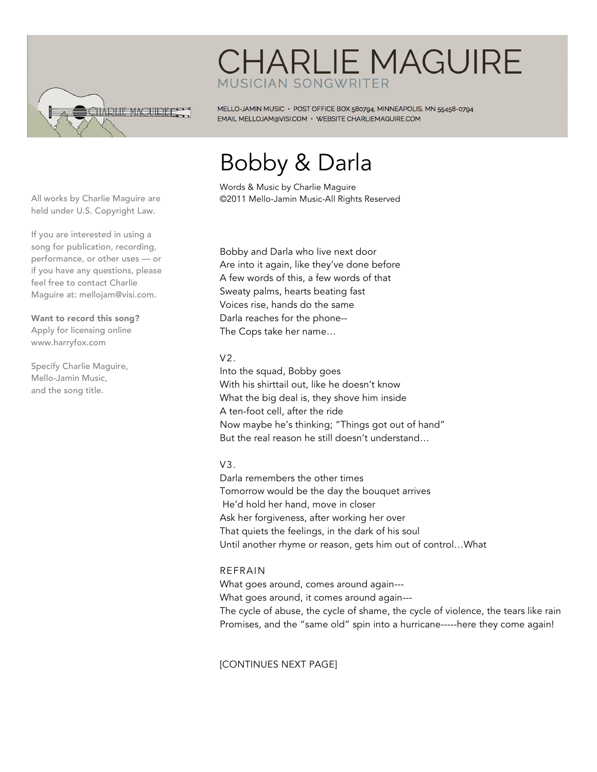

# **CHARLIE MAGUIRE MUSICIAN SONGWRITER**

MELLO-JAMIN MUSIC · POST OFFICE BOX 580794, MINNEAPOLIS, MN 55458-0794 EMAIL MELLOJAM@VISI.COM · WEBSITE CHARLIEMAGUIRE.COM

# Bobby & Darla

Words & Music by Charlie Maguire ©2011 Mello-Jamin Music-All Rights Reserved

All works by Charlie Maguire are held under U.S. Copyright Law.

If you are interested in using a song for publication, recording, performance, or other uses — or if you have any questions, please feel free to contact Charlie Maguire at: mellojam@visi.com.

Want to record this song? Apply for licensing online www.harryfox.com

Specify Charlie Maguire, Mello-Jamin Music, and the song title.

Bobby and Darla who live next door Are into it again, like they've done before A few words of this, a few words of that Sweaty palms, hearts beating fast Voices rise, hands do the same Darla reaches for the phone-- The Cops take her name…

### $V<sub>2</sub>$

Into the squad, Bobby goes With his shirttail out, like he doesn't know What the big deal is, they shove him inside A ten-foot cell, after the ride Now maybe he's thinking; "Things got out of hand" But the real reason he still doesn't understand…

## $V3.$

Darla remembers the other times Tomorrow would be the day the bouquet arrives He'd hold her hand, move in closer Ask her forgiveness, after working her over That quiets the feelings, in the dark of his soul Until another rhyme or reason, gets him out of control…What

## REFRAIN

What goes around, comes around again--- What goes around, it comes around again--- The cycle of abuse, the cycle of shame, the cycle of violence, the tears like rain Promises, and the "same old" spin into a hurricane-----here they come again!

[CONTINUES NEXT PAGE]